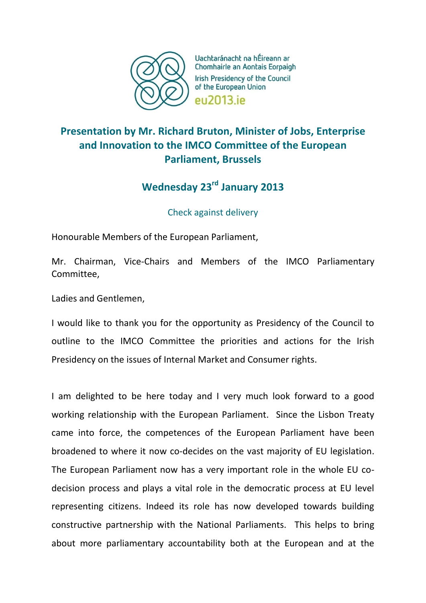

Uachtaránacht na hÉireann ar Chomhairle an Aontais Eorpaigh Irish Presidency of the Council of the European Union **PU2013** iP

## **Presentation by Mr. Richard Bruton, Minister of Jobs, Enterprise and Innovation to the IMCO Committee of the European Parliament, Brussels**

## **Wednesday 23rd January 2013**

Check against delivery

Honourable Members of the European Parliament,

Mr. Chairman, Vice-Chairs and Members of the IMCO Parliamentary Committee,

Ladies and Gentlemen,

I would like to thank you for the opportunity as Presidency of the Council to outline to the IMCO Committee the priorities and actions for the Irish Presidency on the issues of Internal Market and Consumer rights.

I am delighted to be here today and I very much look forward to a good working relationship with the European Parliament. Since the Lisbon Treaty came into force, the competences of the European Parliament have been broadened to where it now co-decides on the vast majority of EU legislation. The European Parliament now has a very important role in the whole EU codecision process and plays a vital role in the democratic process at EU level representing citizens. Indeed its role has now developed towards building constructive partnership with the National Parliaments. This helps to bring about more parliamentary accountability both at the European and at the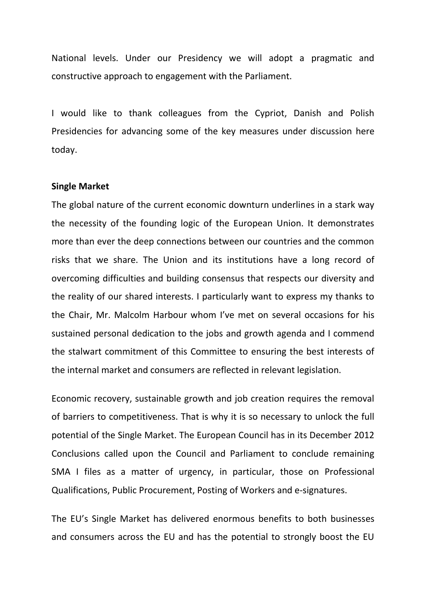National levels. Under our Presidency we will adopt a pragmatic and constructive approach to engagement with the Parliament.

I would like to thank colleagues from the Cypriot, Danish and Polish Presidencies for advancing some of the key measures under discussion here today.

## **Single Market**

The global nature of the current economic downturn underlines in a stark way the necessity of the founding logic of the European Union. It demonstrates more than ever the deep connections between our countries and the common risks that we share. The Union and its institutions have a long record of overcoming difficulties and building consensus that respects our diversity and the reality of our shared interests. I particularly want to express my thanks to the Chair, Mr. Malcolm Harbour whom I've met on several occasions for his sustained personal dedication to the jobs and growth agenda and I commend the stalwart commitment of this Committee to ensuring the best interests of the internal market and consumers are reflected in relevant legislation.

Economic recovery, sustainable growth and job creation requires the removal of barriers to competitiveness. That is why it is so necessary to unlock the full potential of the Single Market. The European Council has in its December 2012 Conclusions called upon the Council and Parliament to conclude remaining SMA I files as a matter of urgency, in particular, those on Professional Qualifications, Public Procurement, Posting of Workers and e-signatures.

The EU's Single Market has delivered enormous benefits to both businesses and consumers across the EU and has the potential to strongly boost the EU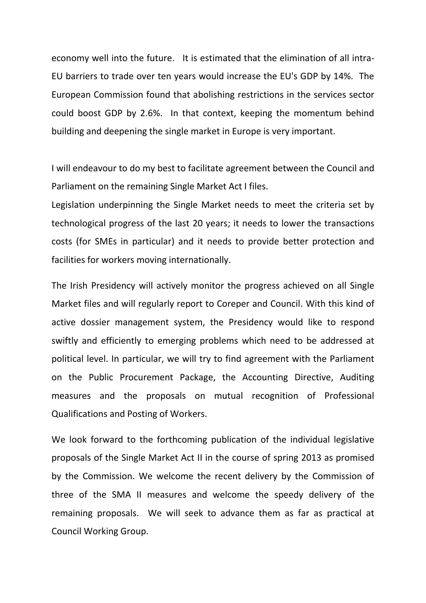economy well into the future. It is estimated that the elimination of all intra-EU barriers to trade over ten years would increase the EU's GDP by 14%. The European Commission found that abolishing restrictions in the services sector could boost GDP by 2.6%. In that context, keeping the momentum behind building and deepening the single market in Europe is very important.

I will endeavour to do my best to facilitate agreement between the Council and Parliament on the remaining Single Market Act I files.

Legislation underpinning the Single Market needs to meet the criteria set by technological progress of the last 20 years; it needs to lower the transactions costs (for SMEs in particular) and it needs to provide better protection and facilities for workers moving internationally.

The Irish Presidency will actively monitor the progress achieved on all Single Market files and will regularly report to Coreper and Council. With this kind of active dossier management system, the Presidency would like to respond swiftly and efficiently to emerging problems which need to be addressed at political level. In particular, we will try to find agreement with the Parliament on the Public Procurement Package, the Accounting Directive, Auditing measures and the proposals on mutual recognition of Professional Qualifications and Posting of Workers.

We look forward to the forthcoming publication of the individual legislative proposals of the Single Market Act II in the course of spring 2013 as promised by the Commission. We welcome the recent delivery by the Commission of three of the SMA II measures and welcome the speedy delivery of the remaining proposals. We will seek to advance them as far as practical at Council Working Group.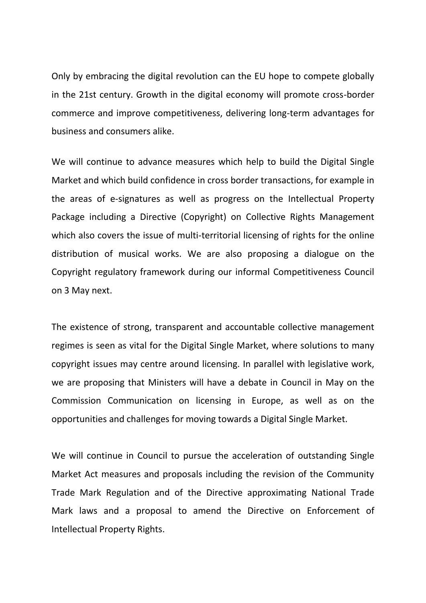Only by embracing the digital revolution can the EU hope to compete globally in the 21st century. Growth in the digital economy will promote cross-border commerce and improve competitiveness, delivering long-term advantages for business and consumers alike.

We will continue to advance measures which help to build the Digital Single Market and which build confidence in cross border transactions, for example in the areas of e-signatures as well as progress on the Intellectual Property Package including a Directive (Copyright) on Collective Rights Management which also covers the issue of multi-territorial licensing of rights for the online distribution of musical works. We are also proposing a dialogue on the Copyright regulatory framework during our informal Competitiveness Council on 3 May next.

The existence of strong, transparent and accountable collective management regimes is seen as vital for the Digital Single Market, where solutions to many copyright issues may centre around licensing. In parallel with legislative work, we are proposing that Ministers will have a debate in Council in May on the Commission Communication on licensing in Europe, as well as on the opportunities and challenges for moving towards a Digital Single Market.

We will continue in Council to pursue the acceleration of outstanding Single Market Act measures and proposals including the revision of the Community Trade Mark Regulation and of the Directive approximating National Trade Mark laws and a proposal to amend the Directive on Enforcement of Intellectual Property Rights.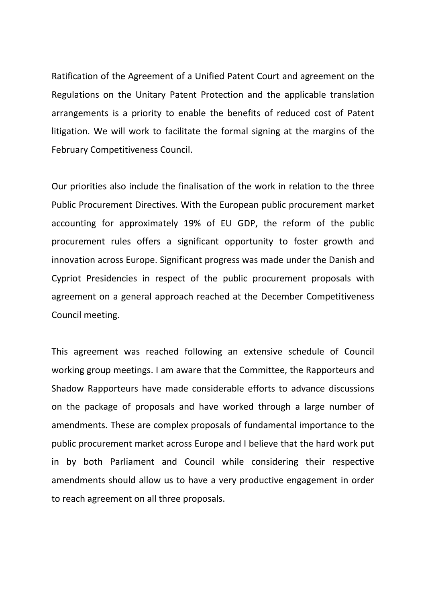Ratification of the Agreement of a Unified Patent Court and agreement on the Regulations on the Unitary Patent Protection and the applicable translation arrangements is a priority to enable the benefits of reduced cost of Patent litigation. We will work to facilitate the formal signing at the margins of the February Competitiveness Council.

Our priorities also include the finalisation of the work in relation to the three Public Procurement Directives. With the European public procurement market accounting for approximately 19% of EU GDP, the reform of the public procurement rules offers a significant opportunity to foster growth and innovation across Europe. Significant progress was made under the Danish and Cypriot Presidencies in respect of the public procurement proposals with agreement on a general approach reached at the December Competitiveness Council meeting.

This agreement was reached following an extensive schedule of Council working group meetings. I am aware that the Committee, the Rapporteurs and Shadow Rapporteurs have made considerable efforts to advance discussions on the package of proposals and have worked through a large number of amendments. These are complex proposals of fundamental importance to the public procurement market across Europe and I believe that the hard work put in by both Parliament and Council while considering their respective amendments should allow us to have a very productive engagement in order to reach agreement on all three proposals.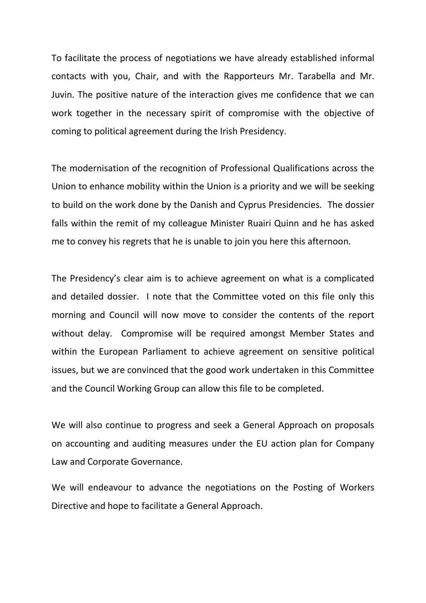To facilitate the process of negotiations we have already established informal contacts with you, Chair, and with the Rapporteurs Mr. Tarabella and Mr. Juvin. The positive nature of the interaction gives me confidence that we can work together in the necessary spirit of compromise with the objective of coming to political agreement during the Irish Presidency.

The modernisation of the recognition of Professional Qualifications across the Union to enhance mobility within the Union is a priority and we will be seeking to build on the work done by the Danish and Cyprus Presidencies. The dossier falls within the remit of my colleague Minister Ruairi Quinn and he has asked me to convey his regrets that he is unable to join you here this afternoon.

The Presidency's clear aim is to achieve agreement on what is a complicated and detailed dossier. I note that the Committee voted on this file only this morning and Council will now move to consider the contents of the report without delay. Compromise will be required amongst Member States and within the European Parliament to achieve agreement on sensitive political issues, but we are convinced that the good work undertaken in this Committee and the Council Working Group can allow this file to be completed.

We will also continue to progress and seek a General Approach on proposals on accounting and auditing measures under the EU action plan for Company Law and Corporate Governance.

We will endeavour to advance the negotiations on the Posting of Workers Directive and hope to facilitate a General Approach.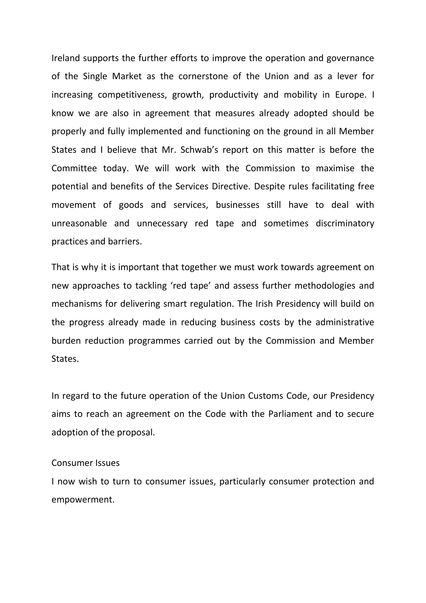Ireland supports the further efforts to improve the operation and governance of the Single Market as the cornerstone of the Union and as a lever for increasing competitiveness, growth, productivity and mobility in Europe. I know we are also in agreement that measures already adopted should be properly and fully implemented and functioning on the ground in all Member States and I believe that Mr. Schwab's report on this matter is before the Committee today. We will work with the Commission to maximise the potential and benefits of the Services Directive. Despite rules facilitating free movement of goods and services, businesses still have to deal with unreasonable and unnecessary red tape and sometimes discriminatory practices and barriers.

That is why it is important that together we must work towards agreement on new approaches to tackling 'red tape' and assess further methodologies and mechanisms for delivering smart regulation. The Irish Presidency will build on the progress already made in reducing business costs by the administrative burden reduction programmes carried out by the Commission and Member States.

In regard to the future operation of the Union Customs Code, our Presidency aims to reach an agreement on the Code with the Parliament and to secure adoption of the proposal.

## Consumer Issues

I now wish to turn to consumer issues, particularly consumer protection and empowerment.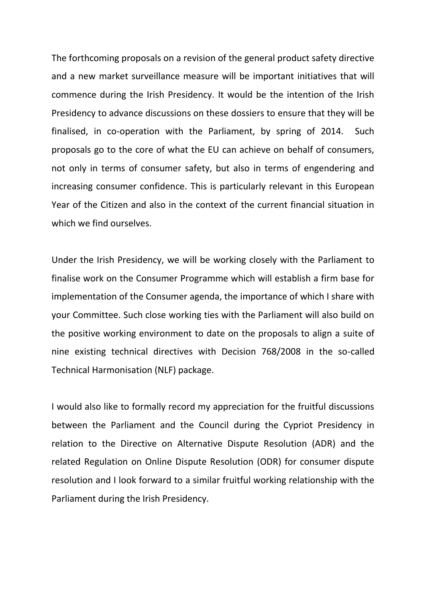The forthcoming proposals on a revision of the general product safety directive and a new market surveillance measure will be important initiatives that will commence during the Irish Presidency. It would be the intention of the Irish Presidency to advance discussions on these dossiers to ensure that they will be finalised, in co-operation with the Parliament, by spring of 2014. Such proposals go to the core of what the EU can achieve on behalf of consumers, not only in terms of consumer safety, but also in terms of engendering and increasing consumer confidence. This is particularly relevant in this European Year of the Citizen and also in the context of the current financial situation in which we find ourselves.

Under the Irish Presidency, we will be working closely with the Parliament to finalise work on the Consumer Programme which will establish a firm base for implementation of the Consumer agenda, the importance of which I share with your Committee. Such close working ties with the Parliament will also build on the positive working environment to date on the proposals to align a suite of nine existing technical directives with Decision 768/2008 in the so-called Technical Harmonisation (NLF) package.

I would also like to formally record my appreciation for the fruitful discussions between the Parliament and the Council during the Cypriot Presidency in relation to the Directive on Alternative Dispute Resolution (ADR) and the related Regulation on Online Dispute Resolution (ODR) for consumer dispute resolution and I look forward to a similar fruitful working relationship with the Parliament during the Irish Presidency.